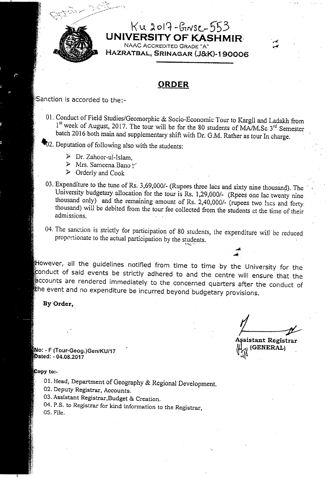

#### $Ku$  2017 - GINSC - 553 **UNIVERSITY OF** KASHMIR~ NAAC ACCREDITED GRADE "A"

HAZRATBAL, SRINAGAR (J&K)-190006

#### **QRDER**

Sanction is accorded to the:-

01. Conduct of Field Studies/Geomorphic & Socio-Economic Tour to Kargil and Ladakh from 1<sup>st</sup> week of August, 2017. The tour will be for the 80 students of MA/M.Sc 3<sup>rd</sup> Semester batch 2016 both main and supplementary shift with Dr. G.M. Rather as tour In charge.

#### ~2. Deputation of following also with the students:

> Dr. Zahoor-ul-Islam,

 $\sim$   $\sim$   $\sim$   $\sim$   $\sim$   $\sim$ 

- $\triangleright$  Mrs. Sameena Bano  $\triangleright$
- $\triangleright$  Orderly and Cook
- 03. Expenditure to the tune of Rs. 3,69,000/- (Rupees three lacs and sixty nine thousand). The University budgetary allocation for the tour is Rs. 1,29,000/- (Rpees one lac twenty nine thousand only) and the remaining amount of Rs. 2,40,000/- (rupees two lacs and forty,' thousand) will be debited from the tour fee collected from the students at the time of their admissions.
- 04. The sanction is strictly for participation of 80 students, the expenditure will be reduced proportionate to the actual participation by the students.

However, all the guidelines notified from time to time by the University for the conduct of said events be strictly adhered to and the centre will ensure that the accounts are rendered immediately to the concerned quarters after the conduct of the event and no expenditure be incurred beyond budgetary provisions.

By Order,

(GENERAL)  $\mathcal{L}[\mathcal{Q}]$ 

: - F (Tour-Geog.)Gen/KU/17 . -  $\mathcal{A}_{\text{L}}$ <br>
(Tour-Geog.)Gen/KU/17 function of the set of the set of the set of the set of the set of the set of the set of the set of the set of the set of the set of the set of the set of the set of the set of the

- 01. Head, Department of Geography & Regional Development.
- 02. Deputy Registrar, Accounts.
- 03. Assistant Registrar,Budget & Creation.
- 04. P.S. to Registrar for kind information to the Registrar, 05. File.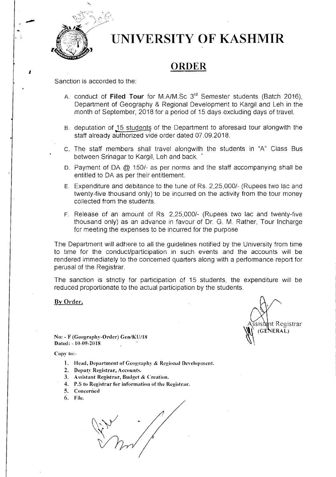

*I* 

## **UNIVERSITY OF KASHMIR**

### **ORDER**

Sanction is accorded to the:

- A. conduct of **Filed Tour** for M.A/M.Sc 3rd Semester students (Batch 2016), Department of Geography & Regional Development to Kargil and Leh in the month of September, 2018 for a period of 15 days excluding days of travel.
- B. deputation of 15 students of the Department to aforesaid tour alongwith the staff already authorized vide order dated 07.09.2018.
- c. The staff members shall travel alongwith the students in "A" Class Bus between Srinagar to Kargil, Leh and back.
- D. Payment of DA @ 150/- as per norms and the staff accompanying shall be entitled to DA as per their entitlement.
- E. Expenditure and debitance to the tune of Rs. 2,25,000/- (Rupees two lac and twenty-five thousand only) to be incurred on the activity from the tour money collected from the students.
- F. Release of an amount of Rs. 2,25,000/- (Rupees two lac and twenty-five thousand only) as an advance in favour of Dr. G. M. Rather, Tour Incharge for meeting the expenses to be incurred for the purpose

The Department will adhere to all the guidelines notified by the University from time to time for the conduct/participation in such events and the accounts will be rendered immediately to the concerned quarters along with a performance report for perusal of the Registrar.

The sanction is strictly for participation of 15 students, the expenditure will be reduced proportionate to the actual participation by the students.

By Order,

nt Registrar **ERAL**)

No: - F (Geography-Order) Gen/KU/lS Dated: - 10-09-2018

- I. Head, Department ofGcography & Rcgional Development.
- 2. Deputy Registrar, Accounts.
- 3. Assistant Registrar, Budget & Creation.
- 4. P.S to Registrar for information of the Registrar.
- 5. Concerned
- 6. File.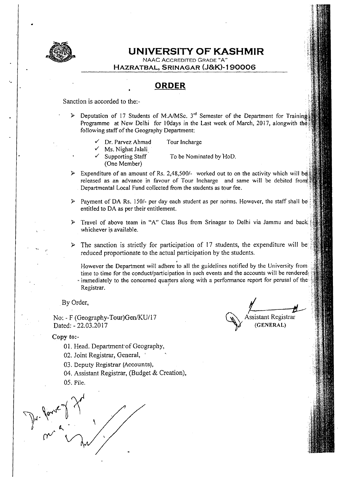

#### **UNIVERSITY OF KASHMIR**

NAAC ACCREDITED GRADE "A"

**HAZRATBAL,** SRI NAGAR **(J&K)-1 90006** 

#### **ORDER**

Sanction is accorded to the:-

- Deputation of 17 Students of M.A/MSc.  $3<sup>rd</sup>$  Semester of the Department for Training Programme at New Delhi for 10days in the Last week of March, 2017, alongwith the following staff of the Geography Department:
	- Dr. Parvez Ahmad

Tour Incharge

Ms. Nighat Jalali Supporting Staff

To be Nominated by HoD.

(One Member)

Expenditure of an amount of Rs. 2,48,500/- worked out to on the activity which will be released as an advance in favour of Tour Incharge and same will be debited from Departmental Local Fund collected from the students as tour fee.

- ~ Payment of DA Rs. *1501-* per day each student as per norms. However, the staff shall beentitled to DA as per their entitlement.
- Travel of above team in "A" Class Bus from Srinagar to Delhi via Jammu and back whichever is available.
- The sanction is strictly for participation of 17 students, the expenditure will be reduced proportionate to the actual participation by the students.

. However the Department will adhere to all the guidelines notified by the University from time to time for the conduct/participation in such events and the accounts will be rendered. .. immediately to the concerned quarters along with a performance report for perusal of Registrar.

No: - F (Geography-Tour) Gen/KU/17 Dated: - 22.03.2017

By Order,  $\overline{M}$ Assistant Registrar (GENERAL)

- 01. Head. Department of Geography,
- 02. Joint Registrar, General,
- 03. Deputy Registrar (Accounts),
- 04. Assistant Registrar, (Budget & Creation),
- 05. File.

de de 1